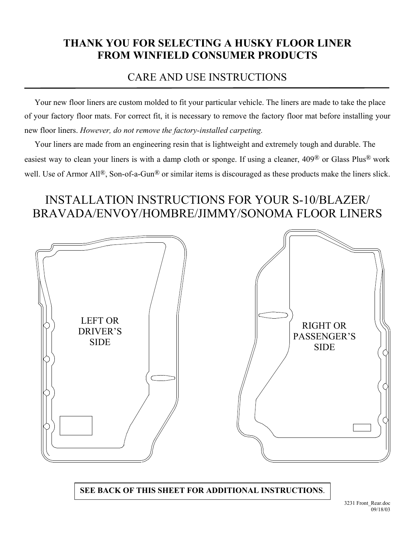## **THANK YOU FOR SELECTING A HUSKY FLOOR LINER FROM WINFIELD CONSUMER PRODUCTS**

## CARE AND USE INSTRUCTIONS

 Your new floor liners are custom molded to fit your particular vehicle. The liners are made to take the place of your factory floor mats. For correct fit, it is necessary to remove the factory floor mat before installing your new floor liners. *However, do not remove the factory-installed carpeting.*

 Your liners are made from an engineering resin that is lightweight and extremely tough and durable. The easiest way to clean your liners is with a damp cloth or sponge. If using a cleaner, 409® or Glass Plus® work well. Use of Armor All<sup>®</sup>, Son-of-a-Gun<sup>®</sup> or similar items is discouraged as these products make the liners slick.

## INSTALLATION INSTRUCTIONS FOR YOUR S-10/BLAZER/ BRAVADA/ENVOY/HOMBRE/JIMMY/SONOMA FLOOR LINERS



**SEE BACK OF THIS SHEET FOR ADDITIONAL INSTRUCTIONS**.